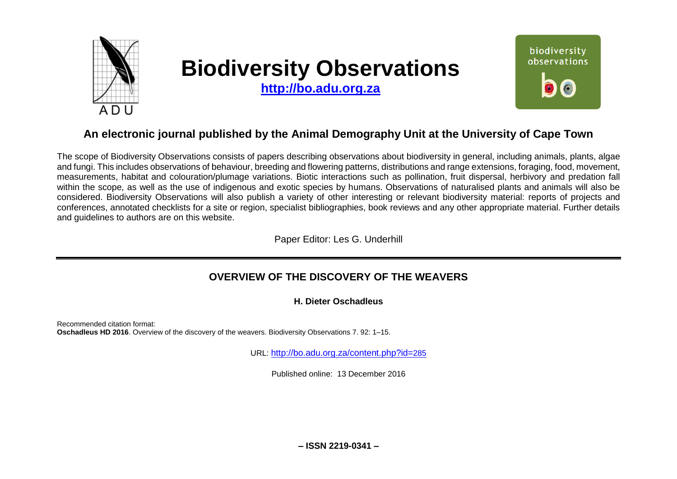

# **Biodiversity Observations**

**[http://bo.adu.org.za](http://bo.adu.org.za/)**



# **An electronic journal published by the Animal Demography Unit at the University of Cape Town**

The scope of Biodiversity Observations consists of papers describing observations about biodiversity in general, including animals, plants, algae and fungi. This includes observations of behaviour, breeding and flowering patterns, distributions and range extensions, foraging, food, movement, measurements, habitat and colouration/plumage variations. Biotic interactions such as pollination, fruit dispersal, herbivory and predation fall within the scope, as well as the use of indigenous and exotic species by humans. Observations of naturalised plants and animals will also be considered. Biodiversity Observations will also publish a variety of other interesting or relevant biodiversity material: reports of projects and conferences, annotated checklists for a site or region, specialist bibliographies, book reviews and any other appropriate material. Further details and guidelines to authors are on this website.

Paper Editor: Les G. Underhill

## **OVERVIEW OF THE DISCOVERY OF THE WEAVERS**

#### **H. Dieter Oschadleus**

Recommended citation format: **Oschadleus HD 2016**. Overview of the discovery of the weavers. Biodiversity Observations 7. 92: 1–15.

URL: [http://bo.adu.org.za/content.php?id=](http://bo.adu.org.za/content.php?id=285)285

Published online: 13 December 2016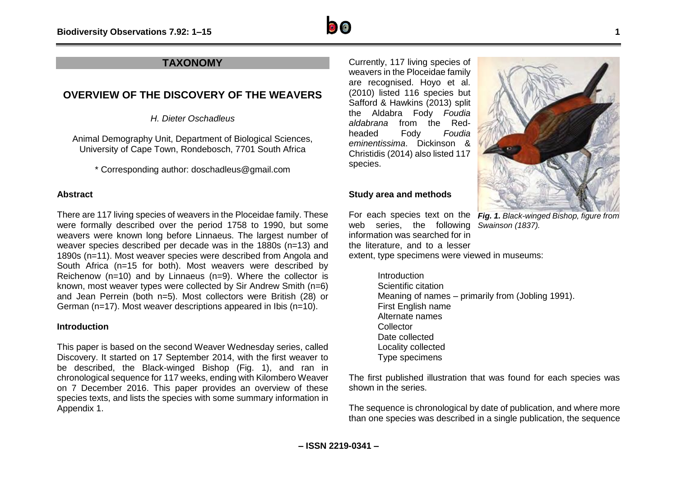

### **TAXONOMY**

## **OVERVIEW OF THE DISCOVERY OF THE WEAVERS**

*H. Dieter Oschadleus* 

Animal Demography Unit, Department of Biological Sciences, University of Cape Town, Rondebosch, 7701 South Africa

\* Corresponding author: doschadleus@gmail.com

#### **Abstract**

There are 117 living species of weavers in the Ploceidae family. These were formally described over the period 1758 to 1990, but some weavers were known long before Linnaeus. The largest number of weaver species described per decade was in the 1880s (n=13) and 1890s (n=11). Most weaver species were described from Angola and South Africa (n=15 for both). Most weavers were described by Reichenow (n=10) and by Linnaeus (n=9). Where the collector is known, most weaver types were collected by Sir Andrew Smith (n=6) and Jean Perrein (both n=5). Most collectors were British (28) or German (n=17). Most weaver descriptions appeared in Ibis (n=10).

#### **Introduction**

This paper is based on the second Weaver Wednesday series, called Discovery. It started on 17 September 2014, with the first weaver to be described, the Black-winged Bishop (Fig. 1), and ran in chronological sequence for 117 weeks, ending with Kilombero Weaver on 7 December 2016. This paper provides an overview of these species texts, and lists the species with some summary information in Appendix 1.

Currently, 117 living species of weavers in the Ploceidae family are recognised. Hoyo et al. (2010) listed 116 species but Safford & Hawkins (2013) split the Aldabra Fody *Foudia aldabrana* from the Redheaded Fody *Foudia eminentissima*. Dickinson & Christidis (2014) also listed 117 species.

#### **Study area and methods**

web series, the following information was searched for in the literature, and to a lesser extent, type specimens were viewed in museums:

> Introduction Scientific citation Meaning of names – primarily from (Jobling 1991). First English name Alternate names **Collector** Date collected Locality collected Type specimens

The first published illustration that was found for each species was shown in the series.

The sequence is chronological by date of publication, and where more than one species was described in a single publication, the sequence



*Swainson (1837).*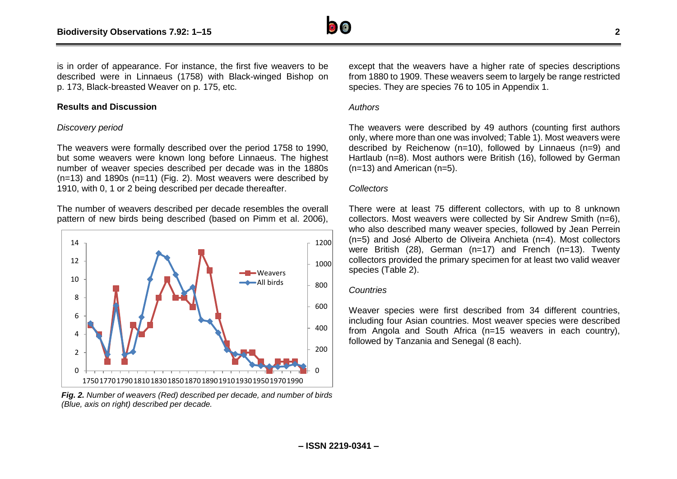

is in order of appearance. For instance, the first five weavers to be described were in Linnaeus (1758) with Black-winged Bishop on p. 173, Black-breasted Weaver on p. 175, etc.

#### **Results and Discussion**

#### *Discovery period*

The weavers were formally described over the period 1758 to 1990, but some weavers were known long before Linnaeus. The highest number of weaver species described per decade was in the 1880s (n=13) and 1890s (n=11) (Fig. 2). Most weavers were described by 1910, with 0, 1 or 2 being described per decade thereafter.

The number of weavers described per decade resembles the overall pattern of new birds being described (based on Pimm et al. 2006),



*Fig. 2. Number of weavers (Red) described per decade, and number of birds (Blue, axis on right) described per decade.*

except that the weavers have a higher rate of species descriptions from 1880 to 1909. These weavers seem to largely be range restricted species. They are species 76 to 105 in Appendix 1.

#### *Authors*

The weavers were described by 49 authors (counting first authors only, where more than one was involved; Table 1). Most weavers were described by Reichenow (n=10), followed by Linnaeus (n=9) and Hartlaub (n=8). Most authors were British (16), followed by German (n=13) and American (n=5).

#### *Collectors*

There were at least 75 different collectors, with up to 8 unknown collectors. Most weavers were collected by Sir Andrew Smith (n=6), who also described many weaver species, followed by Jean Perrein (n=5) and José Alberto de Oliveira Anchieta (n=4). Most collectors were British (28), German (n=17) and French (n=13). Twenty collectors provided the primary specimen for at least two valid weaver species (Table 2).

#### *Countries*

Weaver species were first described from 34 different countries, including four Asian countries. Most weaver species were described from Angola and South Africa (n=15 weavers in each country), followed by Tanzania and Senegal (8 each).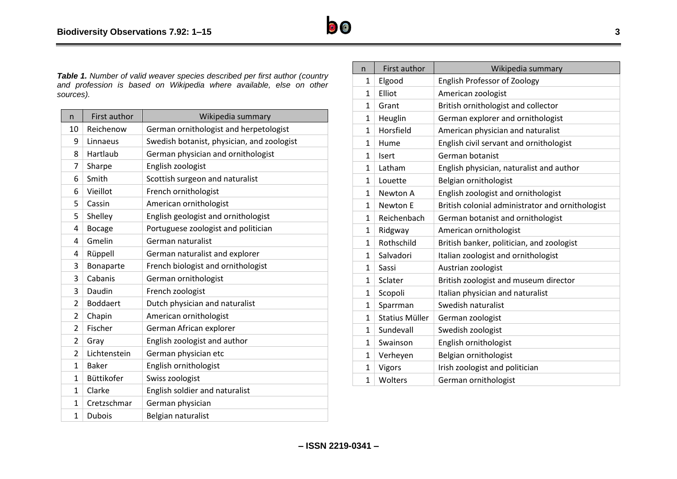

*Table 1. Number of valid weaver species described per first author (country and profession is based on Wikipedia where available, else on other sources).*

| $\mathsf{n}$ | First author    | Wikipedia summary                          |
|--------------|-----------------|--------------------------------------------|
| 10           | Reichenow       | German ornithologist and herpetologist     |
| 9            | Linnaeus        | Swedish botanist, physician, and zoologist |
| 8            | Hartlaub        | German physician and ornithologist         |
| 7            | Sharpe          | English zoologist                          |
| 6            | Smith           | Scottish surgeon and naturalist            |
| 6            | Vieillot        | French ornithologist                       |
| 5            | Cassin          | American ornithologist                     |
| 5            | Shelley         | English geologist and ornithologist        |
| 4            | <b>Bocage</b>   | Portuguese zoologist and politician        |
| 4            | Gmelin          | German naturalist                          |
| 4            | Rüppell         | German naturalist and explorer             |
| 3            | Bonaparte       | French biologist and ornithologist         |
| 3            | Cabanis         | German ornithologist                       |
| 3            | Daudin          | French zoologist                           |
| 2            | <b>Boddaert</b> | Dutch physician and naturalist             |
| 2            | Chapin          | American ornithologist                     |
| 2            | Fischer         | German African explorer                    |
| 2            | Gray            | English zoologist and author               |
| 2            | Lichtenstein    | German physician etc                       |
| $\mathbf{1}$ | <b>Baker</b>    | English ornithologist                      |
| $\mathbf{1}$ | Büttikofer      | Swiss zoologist                            |
| $\mathbf{1}$ | Clarke          | English soldier and naturalist             |
| $\mathbf{1}$ | Cretzschmar     | German physician                           |
| $\mathbf{1}$ | <b>Dubois</b>   | Belgian naturalist                         |

| n            | First author    | Wikipedia summary                                |
|--------------|-----------------|--------------------------------------------------|
| $\mathbf{1}$ | Elgood          | <b>English Professor of Zoology</b>              |
| 1            | Elliot          | American zoologist                               |
| 1            | Grant           | British ornithologist and collector              |
| 1            | Heuglin         | German explorer and ornithologist                |
| 1            | Horsfield       | American physician and naturalist                |
| 1            | Hume            | English civil servant and ornithologist          |
| $\mathbf{1}$ | Isert           | German botanist                                  |
| 1            | Latham          | English physician, naturalist and author         |
| 1            | Louette         | Belgian ornithologist                            |
| 1            | Newton A        | English zoologist and ornithologist              |
| 1            | <b>Newton E</b> | British colonial administrator and ornithologist |
| 1            | Reichenbach     | German botanist and ornithologist                |
| 1            | Ridgway         | American ornithologist                           |
| 1            | Rothschild      | British banker, politician, and zoologist        |
| $\mathbf{1}$ | Salvadori       | Italian zoologist and ornithologist              |
| 1            | Sassi           | Austrian zoologist                               |
| 1            | Sclater         | British zoologist and museum director            |
| $\mathbf{1}$ | Scopoli         | Italian physician and naturalist                 |
| 1            | Sparrman        | Swedish naturalist                               |
| 1            | Statius Müller  | German zoologist                                 |
| 1            | Sundevall       | Swedish zoologist                                |
| 1            | Swainson        | English ornithologist                            |
| $\mathbf{1}$ | Verheyen        | Belgian ornithologist                            |
| $\mathbf{1}$ | Vigors          | Irish zoologist and politician                   |
| 1            | Wolters         | German ornithologist                             |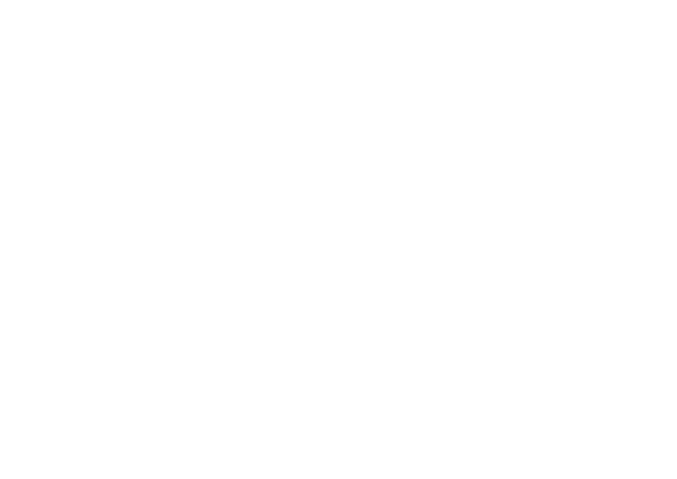



An electronic journal published by the Animal Demography Unit at the University of Cape Town

The diduit beatest prediction of the financial state of the diduction of the prediction of the diduction of the adni. Thstelsbeatebee hiddee it a adairy a e allotandage e safegig aben easetabiatadulume aiate Boieateastiatottieal, abigadeduall juta e asullasta di titule en de la ciudade de la ciudad de la ciudad de la ciudad de la ciudad de la ciudad d ided Brito Dataill algolita aret thrinety celear to ideitate al: escritad beosabedeita te regimialito ibligate sobrie multipraine aeral. Furdails adquielliestabae drabie.

**Bordbe Stift!** 

## **OVERVIEW OF THE DISCOVERY OF THE WEAVERS**

**H. Dieter Oschadleus** 



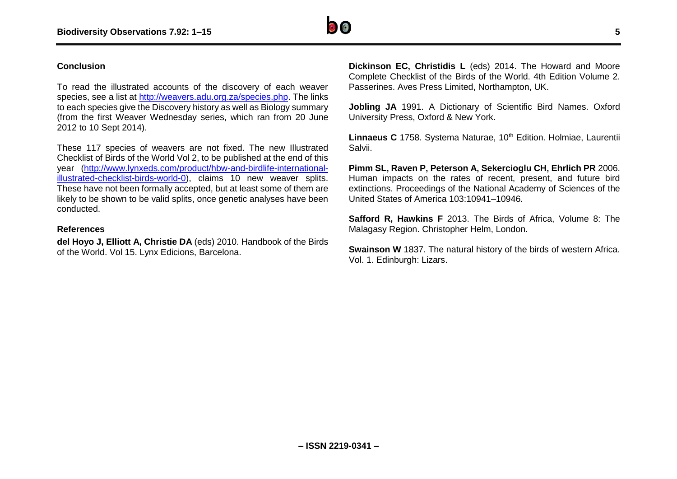

#### **Conclusion**

To read the illustrated accounts of the discovery of each weaver species, see a list at [http://weavers.adu.org.za/species.php.](http://weavers.adu.org.za/species.php) The links to each species give the Discovery history as well as Biology summary (from the first Weaver Wednesday series, which ran from 20 June 2012 to 10 Sept 2014).

These 117 species of weavers are not fixed. The new Illustrated Checklist of Birds of the World Vol 2, to be published at the end of this year [\(http://www.lynxeds.com/product/hbw-and-birdlife-international](http://www.lynxeds.com/product/hbw-and-birdlife-international-illustrated-checklist-birds-world-0)[illustrated-checklist-birds-world-0\)](http://www.lynxeds.com/product/hbw-and-birdlife-international-illustrated-checklist-birds-world-0), claims 10 new weaver splits. These have not been formally accepted, but at least some of them are likely to be shown to be valid splits, once genetic analyses have been conducted.

#### **References**

**del Hoyo J, Elliott A, Christie DA** (eds) 2010. Handbook of the Birds of the World. Vol 15. Lynx Edicions, Barcelona.

**Dickinson EC, Christidis L** (eds) 2014. The Howard and Moore Complete Checklist of the Birds of the World. 4th Edition Volume 2. Passerines. Aves Press Limited, Northampton, UK.

**Jobling JA** 1991. A Dictionary of Scientific Bird Names. Oxford University Press, Oxford & New York.

Linnaeus C 1758. Systema Naturae, 10<sup>th</sup> Edition. Holmiae, Laurentii Salvii.

**Pimm SL, Raven P, Peterson A, Sekercioglu CH, Ehrlich PR** 2006. Human impacts on the rates of recent, present, and future bird extinctions. Proceedings of the National Academy of Sciences of the United States of America 103:10941–10946.

**Safford R, Hawkins F** 2013. The Birds of Africa, Volume 8: The Malagasy Region. Christopher Helm, London.

**Swainson W** 1837. The natural history of the birds of western Africa. Vol. 1. Edinburgh: Lizars.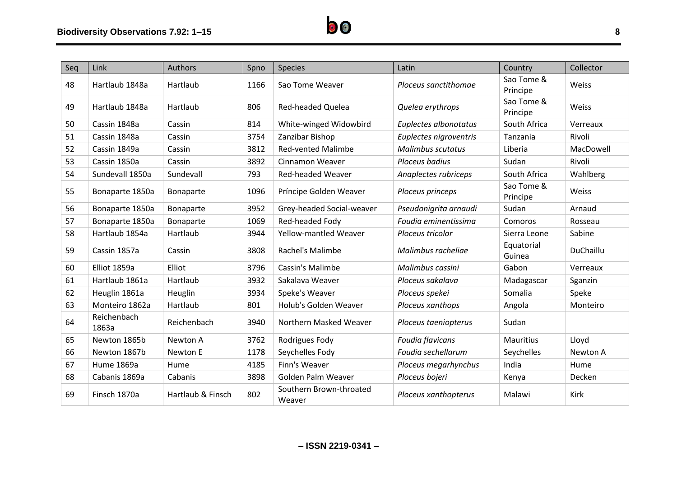| Seq | Link                 | Authors           | Spno | <b>Species</b>                    | Latin                    | Country                | Collector |
|-----|----------------------|-------------------|------|-----------------------------------|--------------------------|------------------------|-----------|
| 48  | Hartlaub 1848a       | Hartlaub          | 1166 | Sao Tome Weaver                   | Ploceus sanctithomae     | Sao Tome &<br>Principe | Weiss     |
| 49  | Hartlaub 1848a       | Hartlaub          | 806  | <b>Red-headed Quelea</b>          | Quelea erythrops         | Sao Tome &<br>Principe | Weiss     |
| 50  | Cassin 1848a         | Cassin            | 814  | White-winged Widowbird            | Euplectes albonotatus    | South Africa           | Verreaux  |
| 51  | Cassin 1848a         | Cassin            | 3754 | Zanzibar Bishop                   | Euplectes nigroventris   | Tanzania               | Rivoli    |
| 52  | Cassin 1849a         | Cassin            | 3812 | <b>Red-vented Malimbe</b>         | <b>Malimbus scutatus</b> | Liberia                | MacDowell |
| 53  | Cassin 1850a         | Cassin            | 3892 | <b>Cinnamon Weaver</b>            | Ploceus badius           | Sudan                  | Rivoli    |
| 54  | Sundevall 1850a      | Sundevall         | 793  | <b>Red-headed Weaver</b>          | Anaplectes rubriceps     | South Africa           | Wahlberg  |
| 55  | Bonaparte 1850a      | Bonaparte         | 1096 | Príncipe Golden Weaver            | Ploceus princeps         | Sao Tome &<br>Principe | Weiss     |
| 56  | Bonaparte 1850a      | Bonaparte         | 3952 | Grey-headed Social-weaver         | Pseudonigrita arnaudi    | Sudan                  | Arnaud    |
| 57  | Bonaparte 1850a      | Bonaparte         | 1069 | Red-headed Fody                   | Foudia eminentissima     | Comoros                | Rosseau   |
| 58  | Hartlaub 1854a       | Hartlaub          | 3944 | Yellow-mantled Weaver             | Ploceus tricolor         | Sierra Leone           | Sabine    |
| 59  | Cassin 1857a         | Cassin            | 3808 | Rachel's Malimbe                  | Malimbus racheliae       | Equatorial<br>Guinea   | DuChaillu |
| 60  | Elliot 1859a         | Elliot            | 3796 | Cassin's Malimbe                  | Malimbus cassini         | Gabon                  | Verreaux  |
| 61  | Hartlaub 1861a       | Hartlaub          | 3932 | Sakalava Weaver                   | Ploceus sakalava         | Madagascar             | Sganzin   |
| 62  | Heuglin 1861a        | Heuglin           | 3934 | Speke's Weaver                    | Ploceus spekei           | Somalia                | Speke     |
| 63  | Monteiro 1862a       | Hartlaub          | 801  | Holub's Golden Weaver             | Ploceus xanthops         | Angola                 | Monteiro  |
| 64  | Reichenbach<br>1863a | Reichenbach       | 3940 | Northern Masked Weaver            | Ploceus taeniopterus     | Sudan                  |           |
| 65  | Newton 1865b         | Newton A          | 3762 | Rodrigues Fody                    | Foudia flavicans         | <b>Mauritius</b>       | Lloyd     |
| 66  | Newton 1867b         | Newton E          | 1178 | Seychelles Fody                   | Foudia sechellarum       | Seychelles             | Newton A  |
| 67  | <b>Hume 1869a</b>    | Hume              | 4185 | Finn's Weaver                     | Ploceus megarhynchus     | India                  | Hume      |
| 68  | Cabanis 1869a        | Cabanis           | 3898 | Golden Palm Weaver                | Ploceus bojeri           | Kenya                  | Decken    |
| 69  | Finsch 1870a         | Hartlaub & Finsch | 802  | Southern Brown-throated<br>Weaver | Ploceus xanthopterus     | Malawi                 | Kirk      |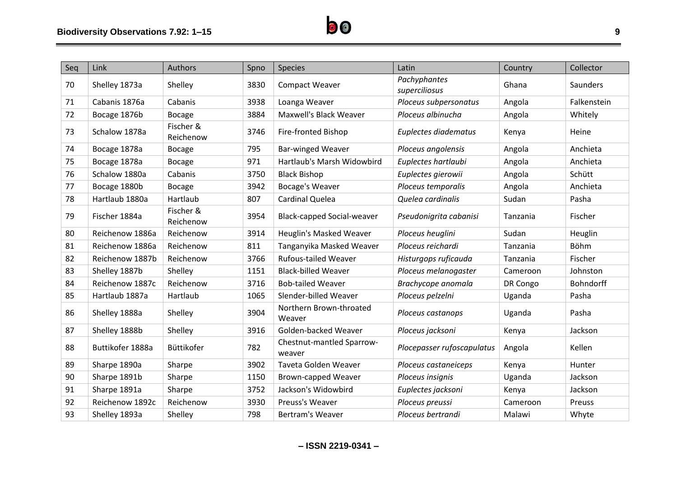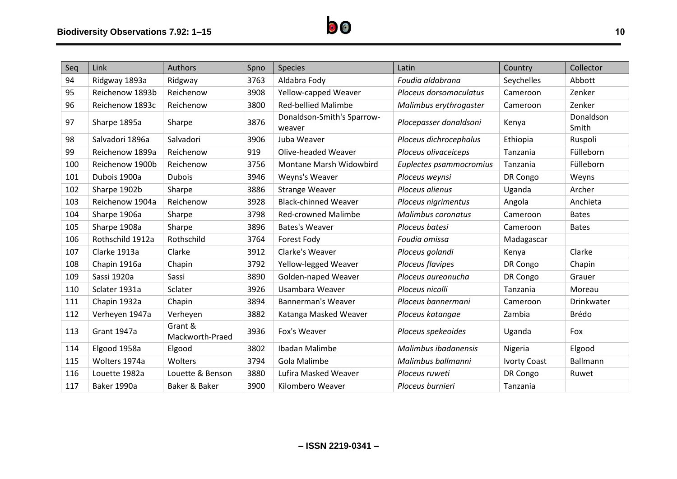| Seq | Link             | <b>Authors</b>             | Spno | <b>Species</b>                       | Latin                     | Country             | Collector          |
|-----|------------------|----------------------------|------|--------------------------------------|---------------------------|---------------------|--------------------|
| 94  | Ridgway 1893a    | Ridgway                    | 3763 | Aldabra Fody                         | Foudia aldabrana          | Seychelles          | Abbott             |
| 95  | Reichenow 1893b  | Reichenow                  | 3908 | Yellow-capped Weaver                 | Ploceus dorsomaculatus    | Cameroon            | Zenker             |
| 96  | Reichenow 1893c  | Reichenow                  | 3800 | <b>Red-bellied Malimbe</b>           | Malimbus erythrogaster    | Cameroon            | Zenker             |
| 97  | Sharpe 1895a     | Sharpe                     | 3876 | Donaldson-Smith's Sparrow-<br>weaver | Plocepasser donaldsoni    | Kenya               | Donaldson<br>Smith |
| 98  | Salvadori 1896a  | Salvadori                  | 3906 | Juba Weaver                          | Ploceus dichrocephalus    | Ethiopia            | Ruspoli            |
| 99  | Reichenow 1899a  | Reichenow                  | 919  | Olive-headed Weaver                  | Ploceus olivaceiceps      | Tanzania            | Fülleborn          |
| 100 | Reichenow 1900b  | Reichenow                  | 3756 | Montane Marsh Widowbird              | Euplectes psammocromius   | Tanzania            | Fülleborn          |
| 101 | Dubois 1900a     | <b>Dubois</b>              | 3946 | Weyns's Weaver                       | Ploceus weynsi            | DR Congo            | Weyns              |
| 102 | Sharpe 1902b     | Sharpe                     | 3886 | <b>Strange Weaver</b>                | Ploceus alienus           | Uganda              | Archer             |
| 103 | Reichenow 1904a  | Reichenow                  | 3928 | <b>Black-chinned Weaver</b>          | Ploceus nigrimentus       | Angola              | Anchieta           |
| 104 | Sharpe 1906a     | Sharpe                     | 3798 | <b>Red-crowned Malimbe</b>           | <b>Malimbus coronatus</b> | Cameroon            | <b>Bates</b>       |
| 105 | Sharpe 1908a     | Sharpe                     | 3896 | <b>Bates's Weaver</b>                | Ploceus batesi            | Cameroon            | <b>Bates</b>       |
| 106 | Rothschild 1912a | Rothschild                 | 3764 | Forest Fody                          | Foudia omissa             | Madagascar          |                    |
| 107 | Clarke 1913a     | Clarke                     | 3912 | Clarke's Weaver                      | Ploceus golandi           | Kenya               | Clarke             |
| 108 | Chapin 1916a     | Chapin                     | 3792 | Yellow-legged Weaver                 | Ploceus flavipes          | DR Congo            | Chapin             |
| 109 | Sassi 1920a      | Sassi                      | 3890 | Golden-naped Weaver                  | Ploceus aureonucha        | DR Congo            | Grauer             |
| 110 | Sclater 1931a    | Sclater                    | 3926 | Usambara Weaver                      | Ploceus nicolli           | Tanzania            | Moreau             |
| 111 | Chapin 1932a     | Chapin                     | 3894 | <b>Bannerman's Weaver</b>            | Ploceus bannermani        | Cameroon            | Drinkwater         |
| 112 | Verheyen 1947a   | Verheyen                   | 3882 | Katanga Masked Weaver                | Ploceus katangae          | Zambia              | Brédo              |
| 113 | Grant 1947a      | Grant &<br>Mackworth-Praed | 3936 | Fox's Weaver                         | Ploceus spekeoides        | Uganda              | Fox                |
| 114 | Elgood 1958a     | Elgood                     | 3802 | Ibadan Malimbe                       | Malimbus ibadanensis      | Nigeria             | Elgood             |
| 115 | Wolters 1974a    | Wolters                    | 3794 | Gola Malimbe                         | Malimbus ballmanni        | <b>Ivorty Coast</b> | Ballmann           |
| 116 | Louette 1982a    | Louette & Benson           | 3880 | Lufira Masked Weaver                 | Ploceus ruweti            | DR Congo            | Ruwet              |
| 117 | Baker 1990a      | Baker & Baker              | 3900 | Kilombero Weaver                     | Ploceus burnieri          | Tanzania            |                    |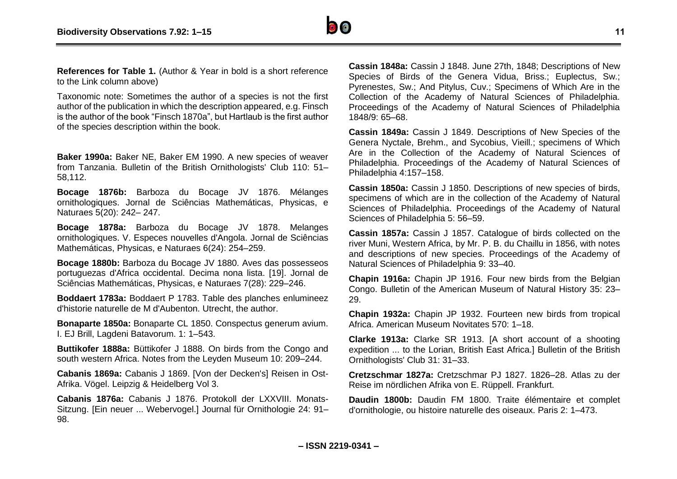

**References for Table 1.** (Author & Year in bold is a short reference to the Link column above)

Taxonomic note: Sometimes the author of a species is not the first author of the publication in which the description appeared, e.g. Finsch is the author of the book "Finsch 1870a", but Hartlaub is the first author of the species description within the book.

**Baker 1990a:** Baker NE, Baker EM 1990. A new species of weaver from Tanzania. Bulletin of the British Ornithologists' Club 110: 51– 58,112.

**Bocage 1876b:** Barboza du Bocage JV 1876. Mélanges ornithologiques. Jornal de Sciências Mathemáticas, Physicas, e Naturaes 5(20): 242– 247.

**Bocage 1878a:** Barboza du Bocage JV 1878. Melanges ornithologiques. V. Especes nouvelles d'Angola. Jornal de Sciências Mathemáticas, Physicas, e Naturaes 6(24): 254–259.

**Bocage 1880b:** Barboza du Bocage JV 1880. Aves das possesseos portuguezas d'Africa occidental. Decima nona lista. [19]. Jornal de Sciências Mathemáticas, Physicas, e Naturaes 7(28): 229–246.

**Boddaert 1783a:** Boddaert P 1783. Table des planches enlumineez d'historie naturelle de M d'Aubenton. Utrecht, the author.

**Bonaparte 1850a:** Bonaparte CL 1850. Conspectus generum avium. I. EJ Brill, Lagdeni Batavorum. 1: 1–543.

**Buttikofer 1888a:** Büttikofer J 1888. On birds from the Congo and south western Africa. Notes from the Leyden Museum 10: 209–244.

**Cabanis 1869a:** Cabanis J 1869. [Von der Decken's] Reisen in Ost-Afrika. Vögel. Leipzig & Heidelberg Vol 3.

**Cabanis 1876a:** Cabanis J 1876. Protokoll der LXXVIII. Monats-Sitzung. [Ein neuer ... Webervogel.] Journal für Ornithologie 24: 91– 98.

**Cassin 1848a:** Cassin J 1848. June 27th, 1848; Descriptions of New Species of Birds of the Genera Vidua, Briss.; Euplectus, Sw.; Pyrenestes, Sw.; And Pitylus, Cuv.; Specimens of Which Are in the Collection of the Academy of Natural Sciences of Philadelphia. Proceedings of the Academy of Natural Sciences of Philadelphia 1848/9: 65–68.

**Cassin 1849a:** Cassin J 1849. Descriptions of New Species of the Genera Nyctale, Brehm., and Sycobius, Vieill.; specimens of Which Are in the Collection of the Academy of Natural Sciences of Philadelphia. Proceedings of the Academy of Natural Sciences of Philadelphia 4:157–158.

**Cassin 1850a:** Cassin J 1850. Descriptions of new species of birds, specimens of which are in the collection of the Academy of Natural Sciences of Philadelphia. Proceedings of the Academy of Natural Sciences of Philadelphia 5: 56–59.

**Cassin 1857a:** Cassin J 1857. Catalogue of birds collected on the river Muni, Western Africa, by Mr. P. B. du Chaillu in 1856, with notes and descriptions of new species. Proceedings of the Academy of Natural Sciences of Philadelphia 9: 33–40.

**Chapin 1916a:** Chapin JP 1916. Four new birds from the Belgian Congo. Bulletin of the American Museum of Natural History 35: 23– 29.

**Chapin 1932a:** Chapin JP 1932. Fourteen new birds from tropical Africa. American Museum Novitates 570: 1–18.

**Clarke 1913a:** Clarke SR 1913. [A short account of a shooting expedition ... to the Lorian, British East Africa.] Bulletin of the British Ornithologists' Club 31: 31–33.

**Cretzschmar 1827a:** Cretzschmar PJ 1827. 1826–28. Atlas zu der Reise im nördlichen Afrika von E. Rüppell. Frankfurt.

**Daudin 1800b:** Daudin FM 1800. Traite élémentaire et complet d'ornithologie, ou histoire naturelle des oiseaux. Paris 2: 1–473.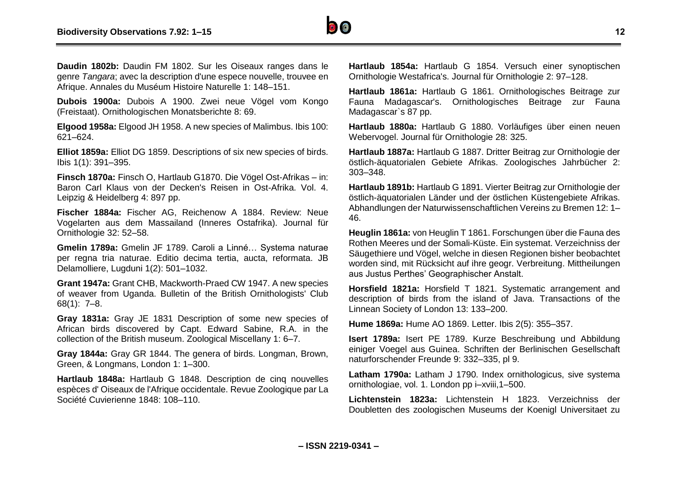

**Daudin 1802b:** Daudin FM 1802. Sur les Oiseaux ranges dans le genre *Tangara*; avec la description d'une espece nouvelle, trouvee en Afrique. Annales du Muséum Histoire Naturelle 1: 148–151.

**Dubois 1900a:** Dubois A 1900. Zwei neue Vögel vom Kongo (Freistaat). Ornithologischen Monatsberichte 8: 69.

**Elgood 1958a:** Elgood JH 1958. A new species of Malimbus. Ibis 100: 621–624.

**Elliot 1859a:** Elliot DG 1859. Descriptions of six new species of birds. Ibis 1(1): 391–395.

**Finsch 1870a:** Finsch O, Hartlaub G1870. Die Vögel Ost-Afrikas – in: Baron Carl Klaus von der Decken's Reisen in Ost-Afrika. Vol. 4. Leipzig & Heidelberg 4: 897 pp.

**Fischer 1884a:** Fischer AG, Reichenow A 1884. Review: Neue Vogelarten aus dem Massailand (Inneres Ostafrika). Journal für Ornithologie 32: 52–58.

**Gmelin 1789a:** Gmelin JF 1789. Caroli a Linné… Systema naturae per regna tria naturae. Editio decima tertia, aucta, reformata. JB Delamolliere, Lugduni 1(2): 501–1032.

**Grant 1947a:** Grant CHB, Mackworth-Praed CW 1947. A new species of weaver from Uganda. Bulletin of the British Ornithologists' Club 68(1): 7–8.

**Gray 1831a:** Gray JE 1831 Description of some new species of African birds discovered by Capt. Edward Sabine, R.A. in the collection of the British museum. Zoological Miscellany 1: 6–7.

**Gray 1844a:** Gray GR 1844. The genera of birds. Longman, Brown, Green, & Longmans, London 1: 1–300.

**Hartlaub 1848a:** Hartlaub G 1848. Description de cinq nouvelles espèces d' Oiseaux de l'Afrique occidentale. Revue Zoologique par La Société Cuvierienne 1848: 108–110.

**Hartlaub 1854a:** Hartlaub G 1854. Versuch einer synoptischen Ornithologie Westafrica's. Journal für Ornithologie 2: 97–128.

**Hartlaub 1861a:** Hartlaub G 1861. Ornithologisches Beitrage zur Fauna Madagascar's. Ornithologisches Beitrage zur Fauna Madagascar`s 87 pp.

**Hartlaub 1880a:** Hartlaub G 1880. Vorläufiges über einen neuen Webervogel. Journal für Ornithologie 28: 325.

**Hartlaub 1887a:** Hartlaub G 1887. Dritter Beitrag zur Ornithologie der östlich-äquatorialen Gebiete Afrikas. Zoologisches Jahrbücher 2: 303–348.

**Hartlaub 1891b:** Hartlaub G 1891. Vierter Beitrag zur Ornithologie der östlich-äquatorialen Länder und der östlichen Küstengebiete Afrikas. Abhandlungen der Naturwissenschaftlichen Vereins zu Bremen 12: 1– 46.

**Heuglin 1861a:** von Heuglin T 1861. Forschungen über die Fauna des Rothen Meeres und der Somali-Küste. Ein systemat. Verzeichniss der Säugethiere und Vögel, welche in diesen Regionen bisher beobachtet worden sind, mit Rücksicht auf ihre geogr. Verbreitung. Mittheilungen aus Justus Perthes' Geographischer Anstalt.

**Horsfield 1821a:** Horsfield T 1821. Systematic arrangement and description of birds from the island of Java. Transactions of the Linnean Society of London 13: 133–200.

**Hume 1869a:** Hume AO 1869. Letter. Ibis 2(5): 355–357.

**Isert 1789a:** Isert PE 1789. Kurze Beschreibung und Abbildung einiger Voegel aus Guinea. Schriften der Berlinischen Gesellschaft naturforschender Freunde 9: 332–335, pl 9.

**Latham 1790a:** Latham J 1790. Index ornithologicus, sive systema ornithologiae, vol. 1. London pp i–xviii,1–500.

**Lichtenstein 1823a:** Lichtenstein H 1823. Verzeichniss der Doubletten des zoologischen Museums der Koenigl Universitaet zu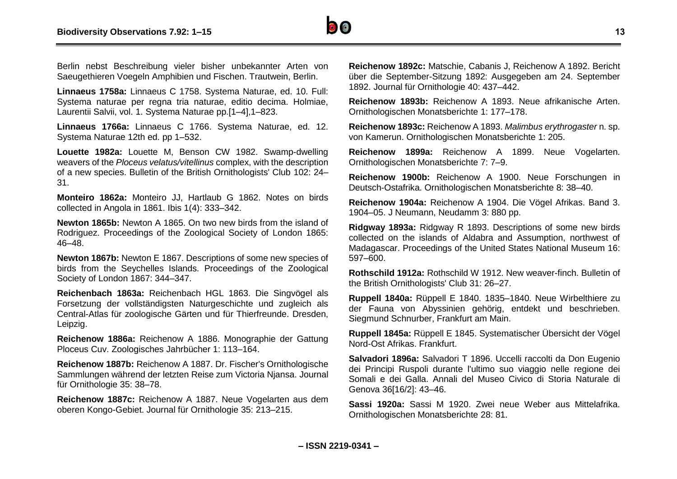

Berlin nebst Beschreibung vieler bisher unbekannter Arten von Saeugethieren Voegeln Amphibien und Fischen. Trautwein, Berlin.

**Linnaeus 1758a:** Linnaeus C 1758. Systema Naturae, ed. 10. Full: Systema naturae per regna tria naturae, editio decima. Holmiae, Laurentii Salvii, vol. 1. Systema Naturae pp.[1–4],1–823.

**Linnaeus 1766a:** Linnaeus C 1766. Systema Naturae, ed. 12. Systema Naturae 12th ed. pp 1–532.

**Louette 1982a:** Louette M, Benson CW 1982. Swamp-dwelling weavers of the *Ploceus velatus/vitellinus* complex, with the description of a new species. Bulletin of the British Ornithologists' Club 102: 24– 31.

**Monteiro 1862a:** Monteiro JJ, Hartlaub G 1862. Notes on birds collected in Angola in 1861. Ibis 1(4): 333–342.

**Newton 1865b:** Newton A 1865. On two new birds from the island of Rodriguez. Proceedings of the Zoological Society of London 1865: 46–48.

**Newton 1867b:** Newton E 1867. Descriptions of some new species of birds from the Seychelles Islands. Proceedings of the Zoological Society of London 1867: 344–347.

**Reichenbach 1863a:** Reichenbach HGL 1863. Die Singvögel als Forsetzung der vollständigsten Naturgeschichte und zugleich als Central-Atlas für zoologische Gärten und für Thierfreunde. Dresden, Leipzig.

**Reichenow 1886a:** Reichenow A 1886. Monographie der Gattung Ploceus Cuv. Zoologisches Jahrbücher 1: 113–164.

**Reichenow 1887b:** Reichenow A 1887. Dr. Fischer's Ornithologische Sammlungen während der letzten Reise zum Victoria Njansa. Journal für Ornithologie 35: 38–78.

**Reichenow 1887c:** Reichenow A 1887. Neue Vogelarten aus dem oberen Kongo-Gebiet. Journal für Ornithologie 35: 213–215.

**Reichenow 1892c:** Matschie, Cabanis J, Reichenow A 1892. Bericht über die September-Sitzung 1892: Ausgegeben am 24. September 1892. Journal für Ornithologie 40: 437–442.

**Reichenow 1893b:** Reichenow A 1893. Neue afrikanische Arten. Ornithologischen Monatsberichte 1: 177–178.

**Reichenow 1893c:** Reichenow A 1893. *Malimbus erythrogaster* n. sp. von Kamerun. Ornithologischen Monatsberichte 1: 205.

**Reichenow 1899a:** Reichenow A 1899. Neue Vogelarten. Ornithologischen Monatsberichte 7: 7–9.

**Reichenow 1900b:** Reichenow A 1900. Neue Forschungen in Deutsch-Ostafrika. Ornithologischen Monatsberichte 8: 38–40.

**Reichenow 1904a:** Reichenow A 1904. Die Vögel Afrikas. Band 3. 1904–05. J Neumann, Neudamm 3: 880 pp.

**Ridgway 1893a:** Ridgway R 1893. Descriptions of some new birds collected on the islands of Aldabra and Assumption, northwest of Madagascar. Proceedings of the United States National Museum 16: 597–600.

**Rothschild 1912a:** Rothschild W 1912. New weaver-finch. Bulletin of the British Ornithologists' Club 31: 26–27.

**Ruppell 1840a:** Rüppell E 1840. 1835–1840. Neue Wirbelthiere zu der Fauna von Abyssinien gehörig, entdekt und beschrieben. Siegmund Schnurber, Frankfurt am Main.

**Ruppell 1845a:** Rüppell E 1845. Systematischer Übersicht der Vögel Nord-Ost Afrikas. Frankfurt.

**Salvadori 1896a:** Salvadori T 1896. Uccelli raccolti da Don Eugenio dei Principi Ruspoli durante l'ultimo suo viaggio nelle regione dei Somali e dei Galla. Annali del Museo Civico di Storia Naturale di Genova 36[16/2]: 43–46.

**Sassi 1920a:** Sassi M 1920. Zwei neue Weber aus Mittelafrika. Ornithologischen Monatsberichte 28: 81.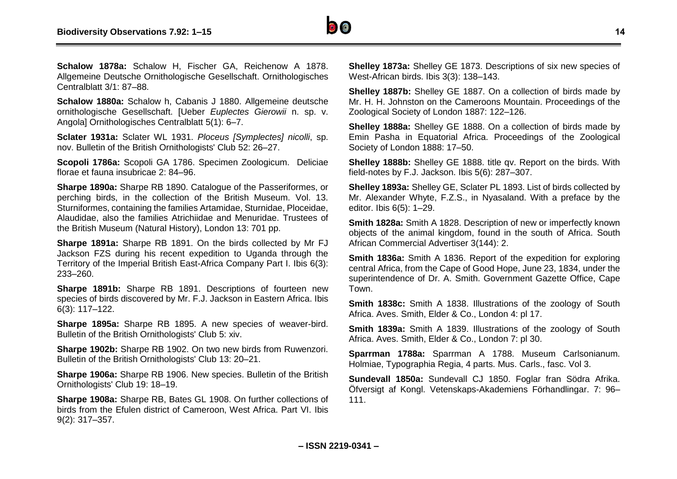

**Schalow 1878a:** Schalow H, Fischer GA, Reichenow A 1878. Allgemeine Deutsche Ornithologische Gesellschaft. Ornithologisches Centralblatt 3/1: 87–88.

**Schalow 1880a:** Schalow h, Cabanis J 1880. Allgemeine deutsche ornithologische Gesellschaft. [Ueber *Euplectes Gierowii* n. sp. v. Angola] Ornithologisches Centralblatt 5(1): 6–7.

**Sclater 1931a:** Sclater WL 1931. *Ploceus [Symplectes] nicolli*, sp. nov. Bulletin of the British Ornithologists' Club 52: 26–27.

**Scopoli 1786a:** Scopoli GA 1786. Specimen Zoologicum. Deliciae florae et fauna insubricae 2: 84–96.

**Sharpe 1890a:** Sharpe RB 1890. Catalogue of the Passeriformes, or perching birds, in the collection of the British Museum. Vol. 13. Sturniformes, containing the families Artamidae, Sturnidae, Ploceidae, Alaudidae, also the families Atrichiidae and Menuridae. Trustees of the British Museum (Natural History), London 13: 701 pp.

**Sharpe 1891a:** Sharpe RB 1891. On the birds collected by Mr FJ Jackson FZS during his recent expedition to Uganda through the Territory of the Imperial British East-Africa Company Part I. Ibis 6(3): 233–260.

**Sharpe 1891b:** Sharpe RB 1891. Descriptions of fourteen new species of birds discovered by Mr. F.J. Jackson in Eastern Africa. Ibis 6(3): 117–122.

**Sharpe 1895a:** Sharpe RB 1895. A new species of weaver-bird. Bulletin of the British Ornithologists' Club 5: xiv.

**Sharpe 1902b:** Sharpe RB 1902. On two new birds from Ruwenzori. Bulletin of the British Ornithologists' Club 13: 20–21.

**Sharpe 1906a:** Sharpe RB 1906. New species. Bulletin of the British Ornithologists' Club 19: 18–19.

**Sharpe 1908a:** Sharpe RB, Bates GL 1908. On further collections of birds from the Efulen district of Cameroon, West Africa. Part VI. Ibis 9(2): 317–357.

**Shelley 1873a:** Shelley GE 1873. Descriptions of six new species of West-African birds. Ibis 3(3): 138–143.

**Shelley 1887b:** Shelley GE 1887. On a collection of birds made by Mr. H. H. Johnston on the Cameroons Mountain. Proceedings of the Zoological Society of London 1887: 122–126.

**Shelley 1888a:** Shelley GE 1888. On a collection of birds made by Emin Pasha in Equatorial Africa. Proceedings of the Zoological Society of London 1888: 17–50.

**Shelley 1888b:** Shelley GE 1888. title qv. Report on the birds. With field-notes by F.J. Jackson. Ibis 5(6): 287–307.

**Shelley 1893a:** Shelley GE, Sclater PL 1893. List of birds collected by Mr. Alexander Whyte, F.Z.S., in Nyasaland. With a preface by the editor. Ibis 6(5): 1–29.

**Smith 1828a:** Smith A 1828. Description of new or imperfectly known objects of the animal kingdom, found in the south of Africa. South African Commercial Advertiser 3(144): 2.

**Smith 1836a:** Smith A 1836. Report of the expedition for exploring central Africa, from the Cape of Good Hope, June 23, 1834, under the superintendence of Dr. A. Smith. Government Gazette Office, Cape Town.

**Smith 1838c:** Smith A 1838. Illustrations of the zoology of South Africa. Aves. Smith, Elder & Co., London 4: pl 17.

**Smith 1839a:** Smith A 1839. Illustrations of the zoology of South Africa. Aves. Smith, Elder & Co., London 7: pl 30.

**Sparrman 1788a:** Sparrman A 1788. Museum Carlsonianum. Holmiae, Typographia Regia, 4 parts. Mus. Carls., fasc. Vol 3.

**Sundevall 1850a:** Sundevall CJ 1850. Foglar fran Södra Afrika. Öfversigt af Kongl. Vetenskaps-Akademiens Förhandlingar. 7: 96– 111.